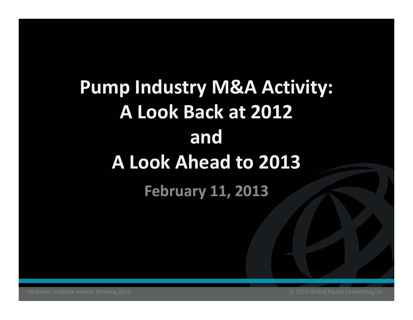# Pump Industry M&A Activity: A Look Back at 2012and A Look Ahead to 2013February 11, 2013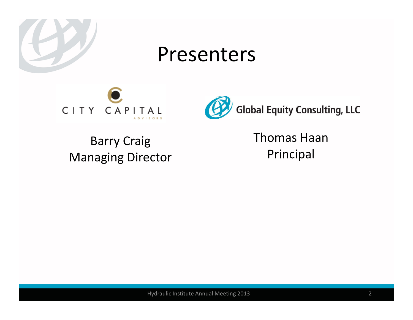

#### Presenters





Barry Craig Managing Director Thomas Haan Principal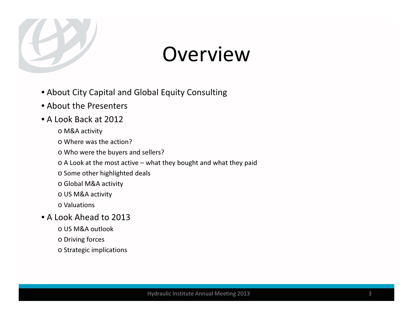

## Overview

- About City Capital and Global Equity Consulting
- About the Presenters
- A Look Back at 2012
	- o M&A activity
	- o Where was the action?
	- o Who were the buyers and sellers?
	- $\circ$  A Look at the most active what they bought and what they paid
	- o Some other highlighted deals
	- o Global M&A activity
	- o US M&A activity
	- o Valuations
- A Look Ahead to 2013
	- o US M&A outlook
	- o Driving forces
	- o Strategic implications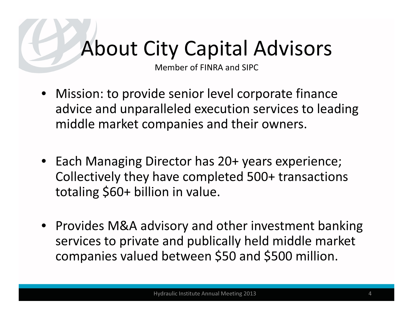# About City Capital Advisors

Member of FINRA and SIPC

- Mission: to provide senior level corporate finance advice and unparalleled execution services to leadingmiddle market companies and their owners.
- Each Managing Director has 20+ years experience; Collectively they have completed 500+ transactions totaling \$60+ billion in value.
- Provides M&A advisory and other investment banking services to private and publically held middle market companies valued between \$50 and \$500 million.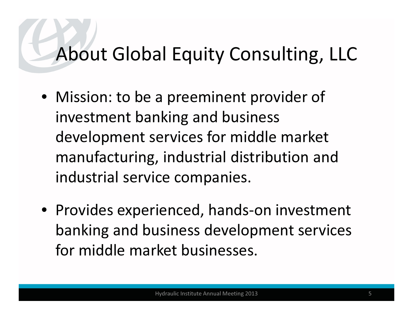## About Global Equity Consulting, LLC

- Mission: to be a preeminent provider of investment banking and business development services for middle market manufacturing, industrial distribution and industrial service companies.
- Provides experienced, hands-on investment banking and business development services for middle market businesses.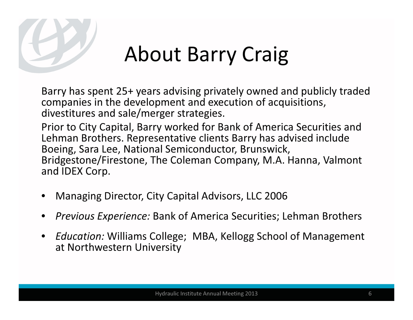

# About Barry Craig

Barry has spent 25+ years advising privately owned and publicly traded companies in the development and execution of acquisitions, divestitures and sale/merger strategies.

Prior to City Capital, Barry worked for Bank of America Securities and Lehman Brothers. Representative clients Barry has advised include Boeing, Sara Lee, National Semiconductor, Brunswick, Bridgestone/Firestone, The Coleman Company, M.A. Hanna, Valmont and IDEX Corp.

- •Managing Director, City Capital Advisors, LLC 2006
- •Previous Experience: Bank of America Securities; Lehman Brothers
- • Education: Williams College; MBA, Kellogg School of Management at Northwestern University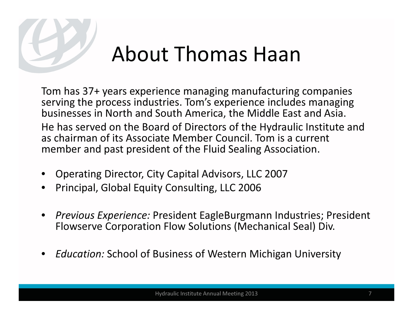

# About Thomas Haan

Tom has 37+ years experience managing manufacturing companies serving the process industries. Tom's experience includes managing businesses in North and South America, the Middle East and Asia.He has served on the Board of Directors of the Hydraulic Institute and as chairman of its Associate Member Council. Tom is a current member and past president of the Fluid Sealing Association.

- •Operating Director, City Capital Advisors, LLC 2007
- •Principal, Global Equity Consulting, LLC 2006
- • Previous Experience: President EagleBurgmann Industries; President Flowserve Corporation Flow Solutions (Mechanical Seal) Div.
- •Education: School of Business of Western Michigan University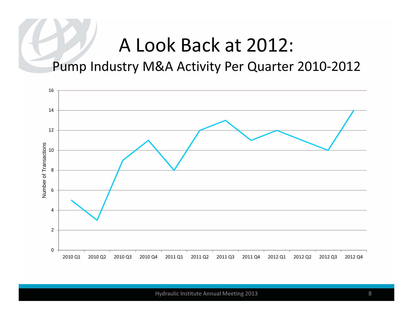Pump Industry M&A Activity Per Quarter 2010-2012

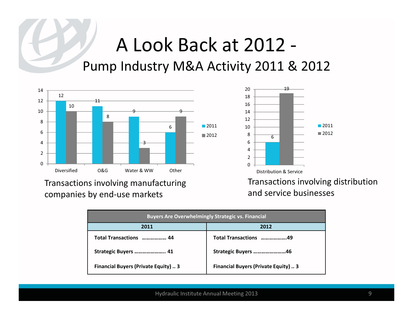#### A Look Back at 2012 -Pump Industry M&A Activity 2011 & 2012



Transactions involving manufacturing companies by end-use markets



Transactions involving distribution and service businesses

| <b>Buyers Are Overwhelmingly Strategic vs. Financial</b> |                                             |  |  |  |  |
|----------------------------------------------------------|---------------------------------------------|--|--|--|--|
| 2011                                                     | 2012                                        |  |  |  |  |
| Total Transactions  44                                   | Total Transactions 49                       |  |  |  |  |
| Strategic Buyers  41                                     | Strategic Buyers 46                         |  |  |  |  |
| <b>Financial Buyers (Private Equity)  3</b>              | <b>Financial Buyers (Private Equity)  3</b> |  |  |  |  |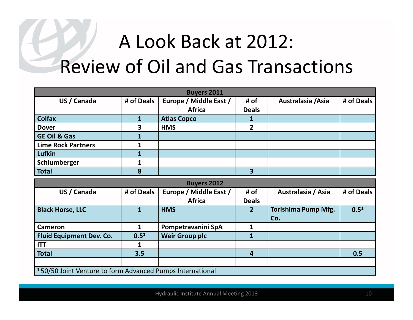# A Look Back at 2012: Review of Oil and Gas Transactions

| <b>Buyers 2011</b>                                                    |                  |                        |                |                            |            |  |
|-----------------------------------------------------------------------|------------------|------------------------|----------------|----------------------------|------------|--|
| US / Canada                                                           | # of Deals       | Europe / Middle East / | # of           | Australasia / Asia         | # of Deals |  |
|                                                                       |                  | <b>Africa</b>          | <b>Deals</b>   |                            |            |  |
| <b>Colfax</b>                                                         | $\mathbf{1}$     | <b>Atlas Copco</b>     | 1              |                            |            |  |
| <b>Dover</b>                                                          | 3                | <b>HMS</b>             | $2^{1}$        |                            |            |  |
| <b>GE Oil &amp; Gas</b>                                               |                  |                        |                |                            |            |  |
| <b>Lime Rock Partners</b>                                             | 1                |                        |                |                            |            |  |
| <b>Lufkin</b>                                                         | 1                |                        |                |                            |            |  |
| Schlumberger                                                          | 1                |                        |                |                            |            |  |
| <b>Total</b>                                                          | 8                |                        | $\overline{3}$ |                            |            |  |
|                                                                       |                  | <b>Buyers 2012</b>     |                |                            |            |  |
| US / Canada                                                           | # of Deals       | Europe / Middle East / | # of           | Australasia / Asia         | # of Deals |  |
|                                                                       |                  | <b>Africa</b>          | <b>Deals</b>   |                            |            |  |
| <b>Black Horse, LLC</b>                                               | $\mathbf{1}$     | <b>HMS</b>             | 2 <sup>1</sup> | <b>Torishima Pump Mfg.</b> | $0.5^{1}$  |  |
|                                                                       |                  |                        |                | Co.                        |            |  |
| <b>Cameron</b>                                                        | $\mathbf{1}$     | Pompetravanini SpA     | 1              |                            |            |  |
| <b>Fluid Equipment Dev. Co.</b>                                       | 0.5 <sup>1</sup> | <b>Weir Group plc</b>  | $\mathbf{1}$   |                            |            |  |
| <b>ITT</b>                                                            | 1                |                        |                |                            |            |  |
| <b>Total</b>                                                          | 3.5              |                        | $\overline{4}$ |                            | 0.5        |  |
|                                                                       |                  |                        |                |                            |            |  |
| <sup>1</sup> 50/50 Joint Venture to form Advanced Pumps International |                  |                        |                |                            |            |  |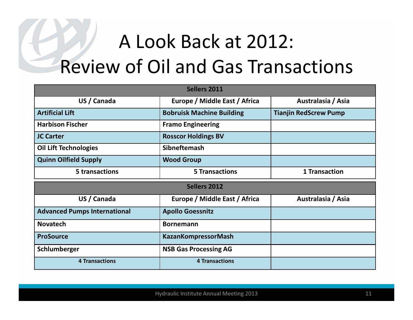# A Look Back at 2012: Review of Oil and Gas Transactions

| <b>Sellers 2011</b>                 |                                  |                              |  |  |
|-------------------------------------|----------------------------------|------------------------------|--|--|
| US / Canada                         | Europe / Middle East / Africa    | Australasia / Asia           |  |  |
| <b>Artificial Lift</b>              | <b>Bobruisk Machine Building</b> | <b>Tianjin RedScrew Pump</b> |  |  |
| <b>Harbison Fischer</b>             | <b>Framo Engineering</b>         |                              |  |  |
| <b>JC Carter</b>                    | <b>Rosscor Holdings BV</b>       |                              |  |  |
| <b>Oil Lift Technologies</b>        | <b>Sibneftemash</b>              |                              |  |  |
| <b>Quinn Oilfield Supply</b>        | <b>Wood Group</b>                |                              |  |  |
| 5 transactions                      | <b>5 Transactions</b>            | <b>1 Transaction</b>         |  |  |
|                                     |                                  |                              |  |  |
|                                     | <b>Sellers 2012</b>              |                              |  |  |
| US / Canada                         | Europe / Middle East / Africa    | Australasia / Asia           |  |  |
| <b>Advanced Pumps International</b> | <b>Apollo Goessnitz</b>          |                              |  |  |
| <b>Novatech</b>                     | <b>Bornemann</b>                 |                              |  |  |
| <b>ProSource</b>                    | <b>KazanKompressorMash</b>       |                              |  |  |
| Schlumberger                        | <b>NSB Gas Processing AG</b>     |                              |  |  |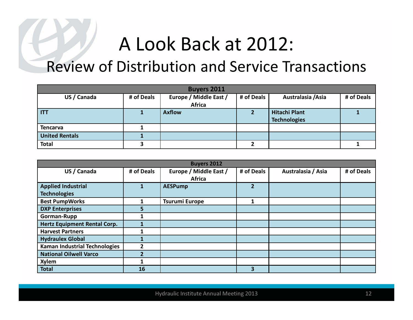#### Review of Distribution and Service Transactions

| <b>Buyers 2011</b>    |            |                        |            |                      |            |  |
|-----------------------|------------|------------------------|------------|----------------------|------------|--|
| US / Canada           | # of Deals | Europe / Middle East / | # of Deals | Australasia / Asia   | # of Deals |  |
|                       |            | Africa                 |            |                      |            |  |
| <b>ITT</b>            |            | <b>Axflow</b>          |            | <b>Hitachi Plant</b> |            |  |
|                       |            |                        |            | <b>Technologies</b>  |            |  |
| <b>Tencarva</b>       |            |                        |            |                      |            |  |
| <b>United Rentals</b> |            |                        |            |                      |            |  |
| <b>Total</b>          |            |                        |            |                      |            |  |

| <b>Buyers 2012</b>                   |            |                        |                |                    |            |
|--------------------------------------|------------|------------------------|----------------|--------------------|------------|
| US / Canada                          | # of Deals | Europe / Middle East / | # of Deals     | Australasia / Asia | # of Deals |
|                                      |            | Africa                 |                |                    |            |
| <b>Applied Industrial</b>            |            | <b>AESPump</b>         | $\overline{2}$ |                    |            |
| <b>Technologies</b>                  |            |                        |                |                    |            |
| <b>Best PumpWorks</b>                |            | <b>Tsurumi Europe</b>  | 1              |                    |            |
| <b>DXP Enterprises</b>               | 5.         |                        |                |                    |            |
| <b>Gorman-Rupp</b>                   |            |                        |                |                    |            |
| <b>Hertz Equipment Rental Corp.</b>  |            |                        |                |                    |            |
| <b>Harvest Partners</b>              |            |                        |                |                    |            |
| <b>Hydraulex Global</b>              |            |                        |                |                    |            |
| <b>Kaman Industrial Technologies</b> |            |                        |                |                    |            |
| <b>National Oilwell Varco</b>        | 2          |                        |                |                    |            |
| <b>Xylem</b>                         |            |                        |                |                    |            |
| <b>Total</b>                         | 16         |                        | 3              |                    |            |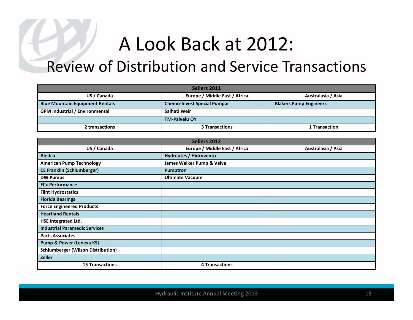#### Review of Distribution and Service Transactions

| Sellers 2011                           |                                    |                               |  |  |
|----------------------------------------|------------------------------------|-------------------------------|--|--|
| US / Canada                            | Europe / Middle East / Africa      | Australasia / Asia            |  |  |
| <b>Blue Mountain Equipment Rentals</b> | <b>Chemo-Invest Special Pumpar</b> | <b>Blakers Pump Engineers</b> |  |  |
| <b>GPM Industrial / Environmental</b>  | Saihati Weir                       |                               |  |  |
|                                        | <b>TM-Palvelu OY</b>               |                               |  |  |
| 2 transactions                         | <b>3 Transactions</b>              | 1 Transaction                 |  |  |

| Sellers 2012                              |                               |                    |  |  |
|-------------------------------------------|-------------------------------|--------------------|--|--|
| US / Canada                               | Europe / Middle East / Africa | Australasia / Asia |  |  |
| <b>Aledco</b>                             | <b>Hydreutes / Hidrovento</b> |                    |  |  |
| <b>American Pump Technology</b>           | James Walker Pump & Valve     |                    |  |  |
| <b>CE Franklin (Schlumberger)</b>         | Pumptron                      |                    |  |  |
| <b>DW Pumps</b>                           | <b>Ultimate Vacuum</b>        |                    |  |  |
| <b>FCx Performance</b>                    |                               |                    |  |  |
| <b>Flint Hydrostatics</b>                 |                               |                    |  |  |
| <b>Florida Bearings</b>                   |                               |                    |  |  |
| <b>Force Engineered Products</b>          |                               |                    |  |  |
| <b>Heartland Rentals</b>                  |                               |                    |  |  |
| <b>HSE Integrated Ltd.</b>                |                               |                    |  |  |
| <b>Industrial Paramedic Services</b>      |                               |                    |  |  |
| <b>Parts Associates</b>                   |                               |                    |  |  |
| <b>Pump &amp; Power (Lenexa KS)</b>       |                               |                    |  |  |
| <b>Schlumberger (Wilson Distribution)</b> |                               |                    |  |  |
| <b>Zeller</b>                             |                               |                    |  |  |
| <b>15 Transactions</b>                    | <b>4 Transactions</b>         |                    |  |  |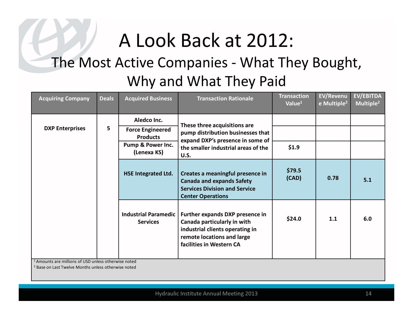#### The Most Active Companies - What They Bought, Why and What They Paid

| <b>Acquiring Company</b>                                        | <b>Deals</b>                                | <b>Acquired Business</b>                           | <b>Transaction Rationale</b>                                                                                                                                | <b>Transaction</b><br>Value <sup>1</sup> | <b>EV/Revenu</b><br>e Multiple <sup>2</sup> | <b>EV/EBITDA</b><br>Multiple <sup>2</sup> |
|-----------------------------------------------------------------|---------------------------------------------|----------------------------------------------------|-------------------------------------------------------------------------------------------------------------------------------------------------------------|------------------------------------------|---------------------------------------------|-------------------------------------------|
|                                                                 |                                             | Aledco Inc.                                        | These three acquisitions are                                                                                                                                |                                          |                                             |                                           |
| <b>DXP Enterprises</b>                                          | 5                                           | <b>Force Engineered</b><br><b>Products</b>         | pump distribution businesses that<br>expand DXP's presence in some of                                                                                       |                                          |                                             |                                           |
|                                                                 | <b>Pump &amp; Power Inc.</b><br>(Lenexa KS) | the smaller industrial areas of the<br><b>U.S.</b> | \$1.9                                                                                                                                                       |                                          |                                             |                                           |
|                                                                 |                                             | <b>HSE Integrated Ltd.</b>                         | Creates a meaningful presence in<br><b>Canada and expands Safety</b><br><b>Services Division and Service</b><br><b>Center Operations</b>                    | \$79.5<br>(CAD)                          | 0.78                                        | 5.1                                       |
|                                                                 |                                             | <b>Industrial Paramedic</b><br><b>Services</b>     | Further expands DXP presence in<br>Canada particularly in with<br>industrial clients operating in<br>remote locations and large<br>facilities in Western CA | \$24.0                                   | 1.1                                         | 6.0                                       |
| <sup>1</sup> Amounts are millions of USD unless otherwise noted |                                             |                                                    |                                                                                                                                                             |                                          |                                             |                                           |

<sup>2</sup> Base on Last Twelve Months unless otherwise noted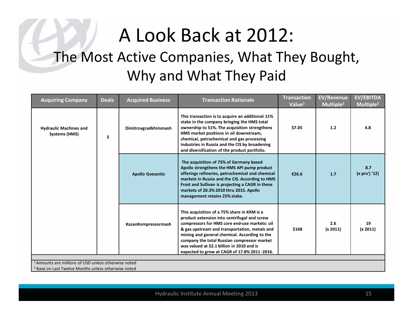### A Look Back at 2012: The Most Active Companies, What They Bought, Why and What They Paid

| <b>Acquiring Company</b>                                        | <b>Deals</b> | <b>Acquired Business</b> | <b>Transaction Rationale</b>                                                                                                                                                                                                                                                                                                                                                                | <b>Transaction</b><br>Value <sup>1</sup> | <b>EV/Revenue</b><br>Multiple <sup>2</sup> | EV/EBITDA<br>Multiple <sup>2</sup> |  |
|-----------------------------------------------------------------|--------------|--------------------------|---------------------------------------------------------------------------------------------------------------------------------------------------------------------------------------------------------------------------------------------------------------------------------------------------------------------------------------------------------------------------------------------|------------------------------------------|--------------------------------------------|------------------------------------|--|
| <b>Hydraulic Machines and</b><br>Systems (HMS)                  | 3            | Dimitrovgradkhimmash     | This transaction is to acquire an additional 11%<br>stake in the company bringing the HMS total<br>ownership to 51%. The acquisition strengthens<br>HMS market positions in oil downstream,<br>chemical, petrochemical and gas processing<br>industries in Russia and the CIS by broadening<br>and diversification of the product portfolio.                                                | \$7.05                                   | 1.2                                        | 4.8                                |  |
|                                                                 |              | <b>Apollo Goessnitz</b>  | The acquisition of 75% of Germany based<br>Apollo strengthens the HMS API pump product<br>offerings refineries, petrochemical and chemical<br>markets in Russia and the CIS. According to HMS<br>Frost and Sullivan is projecting a CAGR in these<br>markets of 20.3% 2010 thru 2015. Apollo<br>management retains 25% stake.                                                               | €26.6                                    | 1.7                                        | 8.7<br>(x pro'j '12)               |  |
|                                                                 |              | KazanKompressormash      | This acquisition of a 75% share in KKM is a<br>product extension into centrifugal and screw<br>compressors for HMS core end-use markets: oil<br>& gas upstream and transportation, metals and<br>mining and general chemical. According to the<br>company the total Russian compressor market<br>was valued at \$2.1 billion in 2010 and is<br>expected to grow at CAGR of 17.8% 2011-2016. | \$168                                    | 2.6<br>(x 2011)                            | 19<br>(x 2011)                     |  |
|                                                                 |              |                          |                                                                                                                                                                                                                                                                                                                                                                                             |                                          |                                            |                                    |  |
| <sup>1</sup> Amounts are millions of USD unless otherwise noted |              |                          |                                                                                                                                                                                                                                                                                                                                                                                             |                                          |                                            |                                    |  |
| <sup>2</sup> Base on Last Twelve Months unless otherwise noted  |              |                          |                                                                                                                                                                                                                                                                                                                                                                                             |                                          |                                            |                                    |  |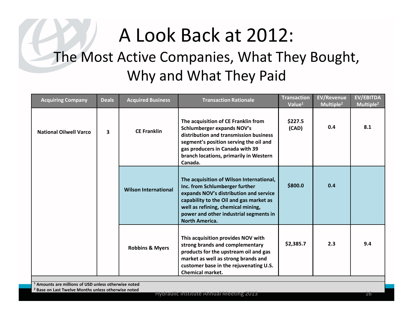#### A Look Back at 2012: The Most Active Companies, What They Bought, Why and What They Paid

| <b>Acquiring Company</b>                                       | <b>Deals</b>                                                    | <b>Acquired Business</b>    | <b>Transaction Rationale</b>                                                                                                                                                                                                                                             | <b>Transaction</b><br>Value <sup>1</sup> | <b>EV/Revenue</b><br>Multiple <sup>2</sup> | <b>EV/EBITDA</b><br>Multiple <sup>2</sup> |  |
|----------------------------------------------------------------|-----------------------------------------------------------------|-----------------------------|--------------------------------------------------------------------------------------------------------------------------------------------------------------------------------------------------------------------------------------------------------------------------|------------------------------------------|--------------------------------------------|-------------------------------------------|--|
| <b>National Oilwell Varco</b>                                  | 3                                                               | <b>CE Franklin</b>          | The acquisition of CE Franklin from<br>Schlumberger expands NOV's<br>distribution and transmission business<br>segment's position serving the oil and<br>gas producers in Canada with 39<br>branch locations, primarily in Western<br>Canada.                            | \$227.5<br>(CAD)                         | 0.4                                        | 8.1                                       |  |
|                                                                |                                                                 | <b>Wilson International</b> | The acquisition of Wilson International,<br>Inc. from Schlumberger further<br>expands NOV's distribution and service<br>capability to the Oil and gas market as<br>well as refining, chemical mining,<br>power and other industrial segments in<br><b>North America.</b> | \$800.0                                  | 0.4                                        |                                           |  |
|                                                                |                                                                 | <b>Robbins &amp; Myers</b>  | This acquisition provides NOV with<br>strong brands and complementary<br>products for the upstream oil and gas<br>market as well as strong brands and<br>customer base in the rejuvenating U.S.<br><b>Chemical market.</b>                                               | \$2,385.7                                | 2.3                                        | 9.4                                       |  |
|                                                                | <sup>1</sup> Amounts are millions of USD unless otherwise noted |                             |                                                                                                                                                                                                                                                                          |                                          |                                            |                                           |  |
| <sup>2</sup> Base on Last Twelve Months unless otherwise noted |                                                                 |                             |                                                                                                                                                                                                                                                                          |                                          |                                            |                                           |  |
|                                                                |                                                                 |                             | <b>Hydraulic Institute Annual Meeting 2013</b>                                                                                                                                                                                                                           |                                          |                                            | 16                                        |  |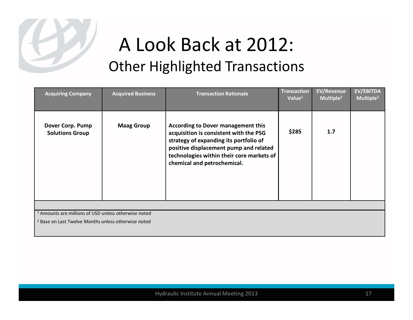

| <b>Acquiring Company</b>                                        | <b>Acquired Business</b> | <b>Transaction Rationale</b>                                                                                                                                                                                                                        | <b>Transaction</b><br>Value <sup>1</sup> | <b>EV/Revenue</b><br>Multiple <sup>2</sup> | <b>EV/EBITDA</b><br>Multiple <sup>2</sup> |  |  |
|-----------------------------------------------------------------|--------------------------|-----------------------------------------------------------------------------------------------------------------------------------------------------------------------------------------------------------------------------------------------------|------------------------------------------|--------------------------------------------|-------------------------------------------|--|--|
| Dover Corp. Pump<br><b>Solutions Group</b>                      | <b>Maag Group</b>        | <b>According to Dover management this</b><br>acquisition is consistent with the PSG<br>strategy of expanding its portfolio of<br>positive displacement pump and related<br>technologies within their core markets of<br>chemical and petrochemical. | \$285                                    | 1.7                                        |                                           |  |  |
|                                                                 |                          |                                                                                                                                                                                                                                                     |                                          |                                            |                                           |  |  |
| <sup>1</sup> Amounts are millions of USD unless otherwise noted |                          |                                                                                                                                                                                                                                                     |                                          |                                            |                                           |  |  |
| <sup>2</sup> Base on Last Twelve Months unless otherwise noted  |                          |                                                                                                                                                                                                                                                     |                                          |                                            |                                           |  |  |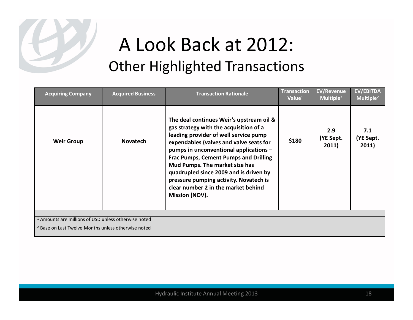

| <b>Acquiring Company</b>                                        | <b>Acquired Business</b> | <b>Transaction Rationale</b>                                                                                                                                                                                                                                                                                                                                                                                                                    | <b>Transaction</b><br>Value $1$ | <b>EV/Revenue</b><br>Multiple <sup>2</sup> | <b>EV/EBITDA</b><br>Multiple <sup>2</sup> |
|-----------------------------------------------------------------|--------------------------|-------------------------------------------------------------------------------------------------------------------------------------------------------------------------------------------------------------------------------------------------------------------------------------------------------------------------------------------------------------------------------------------------------------------------------------------------|---------------------------------|--------------------------------------------|-------------------------------------------|
| <b>Weir Group</b>                                               | <b>Novatech</b>          | The deal continues Weir's upstream oil &<br>gas strategy with the acquisition of a<br>leading provider of well service pump<br>expendables (valves and valve seats for<br>pumps in unconventional applications -<br><b>Frac Pumps, Cement Pumps and Drilling</b><br>Mud Pumps. The market size has<br>quadrupled since 2009 and is driven by<br>pressure pumping activity. Novatech is<br>clear number 2 in the market behind<br>Mission (NOV). | \$180                           | 2.9<br>(YE Sept.<br>2011)                  | 7.1<br>(YE Sept.<br>2011)                 |
|                                                                 |                          |                                                                                                                                                                                                                                                                                                                                                                                                                                                 |                                 |                                            |                                           |
| <sup>1</sup> Amounts are millions of USD unless otherwise noted |                          |                                                                                                                                                                                                                                                                                                                                                                                                                                                 |                                 |                                            |                                           |
| <sup>2</sup> Base on Last Twelve Months unless otherwise noted  |                          |                                                                                                                                                                                                                                                                                                                                                                                                                                                 |                                 |                                            |                                           |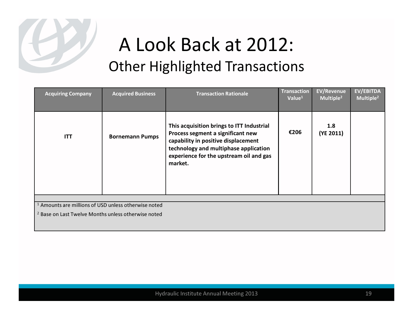

| <b>Acquiring Company</b>                                        | <b>Acquired Business</b> | <b>Transaction Rationale</b>                                                                                                                                                                                         | <b>Transaction</b><br>Value <sup>1</sup> | <b>EV/Revenue</b><br>Multiple <sup>2</sup> | EV/EBITDA<br>Multiple <sup>2</sup> |  |  |  |
|-----------------------------------------------------------------|--------------------------|----------------------------------------------------------------------------------------------------------------------------------------------------------------------------------------------------------------------|------------------------------------------|--------------------------------------------|------------------------------------|--|--|--|
| <b>ITT</b>                                                      | <b>Bornemann Pumps</b>   | This acquisition brings to ITT Industrial<br>Process segment a significant new<br>capability in positive displacement<br>technology and multiphase application<br>experience for the upstream oil and gas<br>market. | €206                                     | 1.8<br>(YE 2011)                           |                                    |  |  |  |
|                                                                 |                          |                                                                                                                                                                                                                      |                                          |                                            |                                    |  |  |  |
| <sup>1</sup> Amounts are millions of USD unless otherwise noted |                          |                                                                                                                                                                                                                      |                                          |                                            |                                    |  |  |  |
| <sup>2</sup> Base on Last Twelve Months unless otherwise noted  |                          |                                                                                                                                                                                                                      |                                          |                                            |                                    |  |  |  |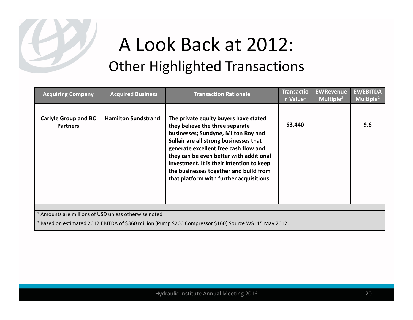

| <b>Acquiring Company</b>                                                                                           | <b>Acquired Business</b>   | <b>Transaction Rationale</b>                                                                                                                                                                                                                                                                                                                                                     | <b>Transactio</b><br>n Value <sup>1</sup> | <b>EV/Revenue</b><br>Multiple <sup>2</sup> | EV/EBITDA<br>Multiple <sup>2</sup> |  |  |  |
|--------------------------------------------------------------------------------------------------------------------|----------------------------|----------------------------------------------------------------------------------------------------------------------------------------------------------------------------------------------------------------------------------------------------------------------------------------------------------------------------------------------------------------------------------|-------------------------------------------|--------------------------------------------|------------------------------------|--|--|--|
| <b>Carlyle Group and BC</b><br><b>Partners</b>                                                                     | <b>Hamilton Sundstrand</b> | The private equity buyers have stated<br>they believe the three separate<br>businesses; Sundyne, Milton Roy and<br>Sullair are all strong businesses that<br>generate excellent free cash flow and<br>they can be even better with additional<br>investment. It is their intention to keep<br>the businesses together and build from<br>that platform with further acquisitions. | \$3,440                                   |                                            | 9.6                                |  |  |  |
|                                                                                                                    |                            |                                                                                                                                                                                                                                                                                                                                                                                  |                                           |                                            |                                    |  |  |  |
| <sup>1</sup> Amounts are millions of USD unless otherwise noted                                                    |                            |                                                                                                                                                                                                                                                                                                                                                                                  |                                           |                                            |                                    |  |  |  |
| <sup>2</sup> Based on estimated 2012 EBITDA of \$360 million (Pump \$200 Compressor \$160) Source WSJ 15 May 2012. |                            |                                                                                                                                                                                                                                                                                                                                                                                  |                                           |                                            |                                    |  |  |  |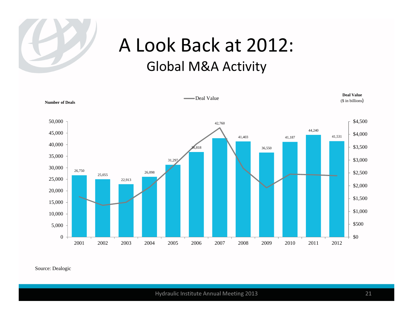

#### A Look Back at 2012: Global M&A Activity

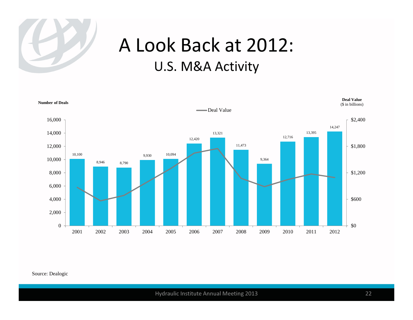

#### A Look Back at 2012: U.S. M&A Activity

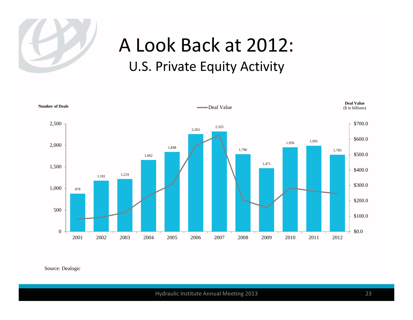

#### A Look Back at 2012: U.S. Private Equity Activity

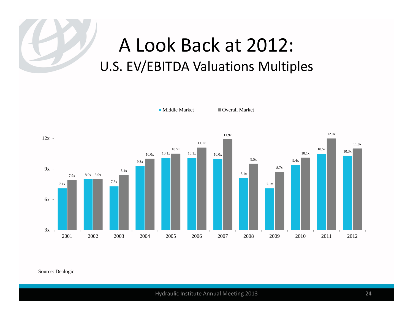#### A Look Back at 2012: U.S. EV/EBITDA Valuations Multiples

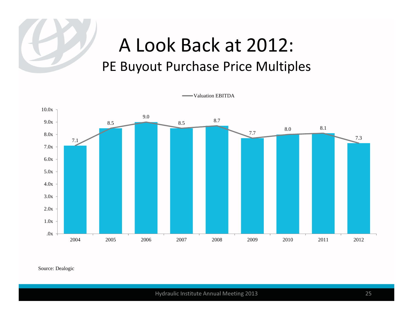#### A Look Back at 2012: PE Buyout Purchase Price Multiples

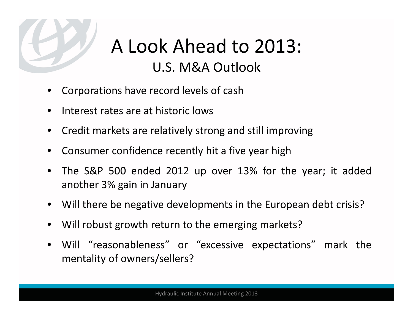

### A Look Ahead to 2013: U.S. M&A Outlook

- •Corporations have record levels of cash
- •Interest rates are at historic lows
- •Credit markets are relatively strong and still improving
- •Consumer confidence recently hit <sup>a</sup> five year high
- • The S&P <sup>500</sup> ended <sup>2012</sup> up over 13% for the year; it addedanother 3% gain in January
- Will there be negative developments in the European debt crisis?
- •Will robust growth return to the emerging markets?
- • Will "reasonableness" or "excessive expectations" mark thementality of owners/sellers?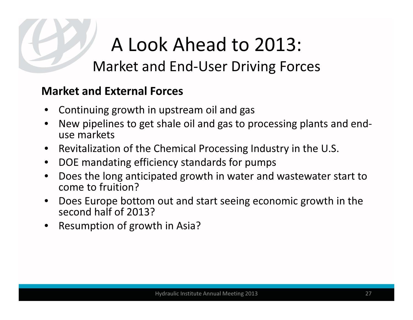## A Look Ahead to 2013: Market and End-User Driving Forces

#### Market and External Forces

- •Continuing growth in upstream oil and gas
- • New pipelines to get shale oil and gas to processing plants and enduse markets
- •Revitalization of the Chemical Processing Industry in the U.S.
- $\bullet$ DOE mandating efficiency standards for pumps
- • Does the long anticipated growth in water and wastewater start to come to fruition?
- Does Europe bottom out and start seeing economic growth in the •second half of 2013?
- Resumption of growth in Asia? •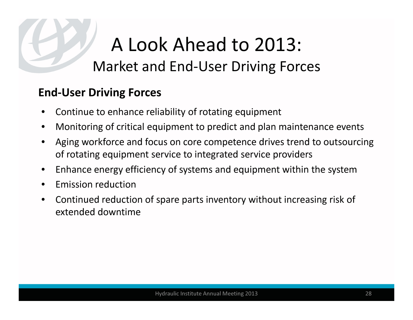## A Look Ahead to 2013: Market and End-User Driving Forces

#### End-User Driving Forces

- •Continue to enhance reliability of rotating equipment
- •Monitoring of critical equipment to predict and plan maintenance events
- • Aging workforce and focus on core competence drives trend to outsourcing of rotating equipment service to integrated service providers
- •Enhance energy efficiency of systems and equipment within the system
- •Emission reduction
- • Continued reduction of spare parts inventory without increasing risk of extended downtime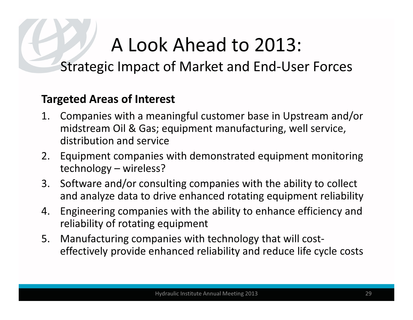## A Look Ahead to 2013:

#### Strategic Impact of Market and End-User Forces

#### Targeted Areas of Interest

- 1. Companies with a meaningful customer base in Upstream and/or midstream Oil & Gas; equipment manufacturing, well service, distribution and service
- 2. Equipment companies with demonstrated equipment monitoring technology – wireless?
- 3. Software and/or consulting companies with the ability to collect and analyze data to drive enhanced rotating equipment reliability
- 4. Engineering companies with the ability to enhance efficiency and reliability of rotating equipment
- 5. Manufacturing companies with technology that will costeffectively provide enhanced reliability and reduce life cycle costs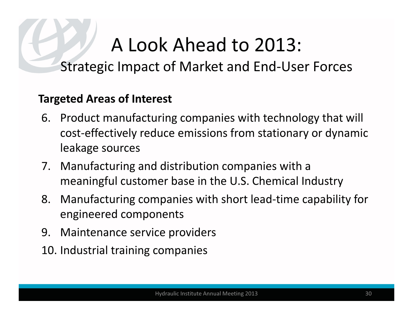## A Look Ahead to 2013:

#### Strategic Impact of Market and End-User Forces

#### Targeted Areas of Interest

- 6. Product manufacturing companies with technology that will cost-effectively reduce emissions from stationary or dynamic leakage sources
- 7. Manufacturing and distribution companies with a meaningful customer base in the U.S. Chemical Industry
- 8. Manufacturing companies with short lead-time capability for engineered components
- 9. Maintenance service providers
- 10. Industrial training companies